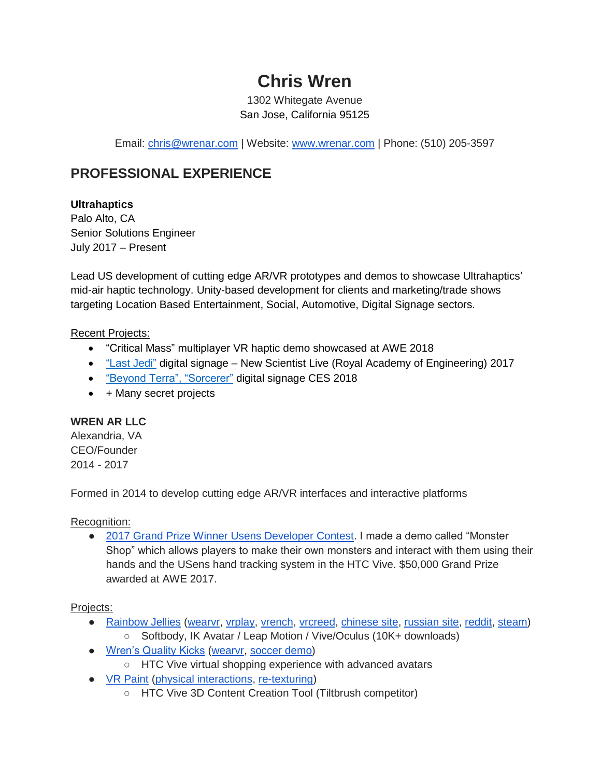# **Chris Wren**

1302 Whitegate Avenue San Jose, California 95125

Email: [chris@wrenar.com](mailto:chris@wrenar.com) | Website: [www.wrenar.com](http://www.wrenar.com/) | Phone: (510) 205-3597

# **PROFESSIONAL EXPERIENCE**

### **Ultrahaptics**

Palo Alto, CA Senior Solutions Engineer July 2017 – Present

Lead US development of cutting edge AR/VR prototypes and demos to showcase Ultrahaptics' mid-air haptic technology. Unity-based development for clients and marketing/trade shows targeting Location Based Entertainment, Social, Automotive, Digital Signage sectors.

#### Recent Projects:

- "Critical Mass" multiplayer VR haptic demo showcased at AWE 2018
- ["Last](https://www.youtube.com/watch?v=ZxKoaaH_7SM) Jedi" digital signage New Scientist Live (Royal Academy of Engineering) 2017
- ["Beyond Terra", "Sorcerer"](https://www.youtube.com/watch?v=lxUGTX_L8_I) digital signage CES 2018
- + Many secret projects

#### **WREN AR LLC**

Alexandria, VA CEO/Founder 2014 - 2017

Formed in 2014 to develop cutting edge AR/VR interfaces and interactive platforms

#### Recognition:

● [2017 Grand Prize Winner Usens Developer Contest.](https://twitter.com/usensinc/status/870341751701086208) I made a demo called "Monster Shop" which allows players to make their own monsters and interact with them using their hands and the USens hand tracking system in the HTC Vive. \$50,000 Grand Prize awarded at AWE 2017.

#### Projects:

- [Rainbow Jellies](https://www.youtube.com/watch?v=oPOktLVlj4c) [\(wearvr,](https://www.wearvr.com/apps/rainbow-jellies) [vrplay,](http://vrplay.io/en/apps/show/rainbow-jellies) [vrench,](https://www.vrench.com/apps/app/id/60) [vrcreed,](http://www.vrcreed.com/apps/rainbow-jellies/) [chinese site,](http://m.vm5.cc/game/20160618_765.html) [russian site,](http://www.vr-ochki.net/rainbow-jellies-vr.html) [reddit,](https://m.reddit.com/r/oculus/comments/47szx4/augmented_reality_demo_rainbow_jellies_oculus/) [steam\)](http://steamcommunity.com/sharedfiles/filedetails/?id=704725225)
	- Softbody, IK Avatar / Leap Motion / Vive/Oculus (10K+ downloads)
- [Wren's Quality Kicks](https://www.youtube.com/watch?v=pBtS__8jUII) [\(wearvr,](https://www.wearvr.com/apps/wrens-quality-kicks) [soccer demo\)](https://www.youtube.com/watch?v=zn5z8oYELqs)
	- HTC Vive virtual shopping experience with advanced avatars
- [VR Paint](https://www.youtube.com/watch?v=Y7b7psV7fIA) [\(physical interactions,](https://www.youtube.com/watch?v=JJ5VqVZOITQ) [re-texturing\)](https://www.youtube.com/watch?v=RzLJSvjlpUQ)
	- HTC Vive 3D Content Creation Tool (Tiltbrush competitor)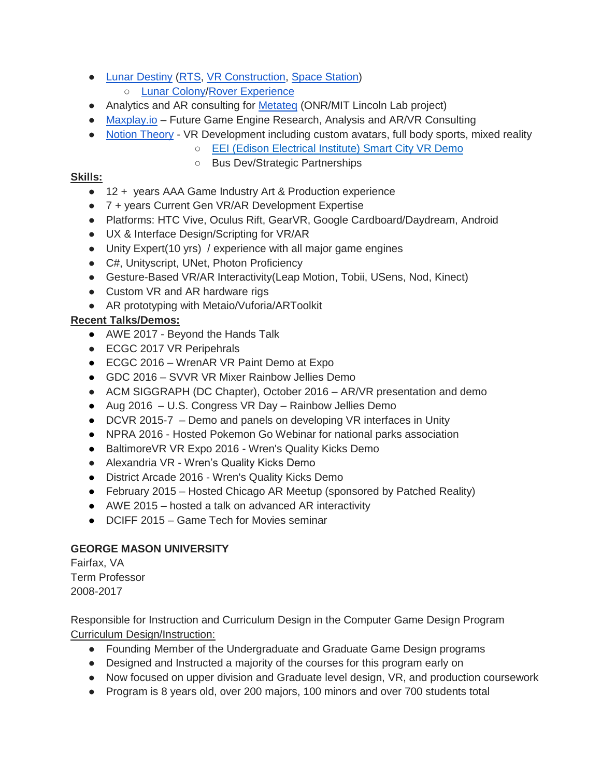- [Lunar Destiny](https://www.youtube.com/watch?v=HVcjhJkSHoE) [\(RTS,](https://www.youtube.com/watch?v=7zstxjnfRHs) [VR Construction,](https://www.youtube.com/watch?v=uo38jkPt9fM) [Space Station\)](https://www.youtube.com/watch?v=6sUY3gh7Ru0)
	- [Lunar Colony/](https://www.youtube.com/watch?v=n6LpCEZalJI)[Rover Experience](https://www.youtube.com/watch?v=z1OiqbqLIkI)
- Analytics and AR consulting for [Metateq](http://metateq.com/) (ONR/MIT Lincoln Lab project)
- [Maxplay.io](http://www.maxplay.io/) Future Game Engine Research, Analysis and AR/VR Consulting
- [Notion Theory](https://notiontheory.com/) VR Development including custom avatars, full body sports, mixed reality
	- [EEI \(Edison Electrical Institute\) Smart City VR Demo](https://youtu.be/yINriLg81Vw)
	- Bus Dev/Strategic Partnerships

#### **Skills:**

- 12 + years AAA Game Industry Art & Production experience
- 7 + years Current Gen VR/AR Development Expertise
- Platforms: HTC Vive, Oculus Rift, GearVR, Google Cardboard/Daydream, Android
- UX & Interface Design/Scripting for VR/AR
- Unity Expert(10 yrs) / experience with all major game engines
- C#, Unityscript, UNet, Photon Proficiency
- Gesture-Based VR/AR Interactivity(Leap Motion, Tobii, USens, Nod, Kinect)
- Custom VR and AR hardware rigs
- AR prototyping with Metaio/Vuforia/ARToolkit

# **Recent Talks/Demos:**

- AWE 2017 Beyond the Hands Talk
- ECGC 2017 VR Peripehrals
- ECGC 2016 WrenAR VR Paint Demo at Expo
- GDC 2016 SVVR VR Mixer Rainbow Jellies Demo
- ACM SIGGRAPH (DC Chapter), October 2016 AR/VR presentation and demo
- Aug 2016 U.S. Congress VR Day Rainbow Jellies Demo
- DCVR 2015-7 Demo and panels on developing VR interfaces in Unity
- NPRA 2016 Hosted Pokemon Go Webinar for national parks association
- BaltimoreVR VR Expo 2016 Wren's Quality Kicks Demo
- Alexandria VR Wren's Quality Kicks Demo
- District Arcade 2016 Wren's Quality Kicks Demo
- February 2015 Hosted Chicago AR Meetup (sponsored by Patched Reality)
- AWE 2015 hosted a talk on advanced AR interactivity
- DCIFF 2015 Game Tech for Movies seminar

## **GEORGE MASON UNIVERSITY**

Fairfax, VA Term Professor 2008-2017

Responsible for Instruction and Curriculum Design in the Computer Game Design Program Curriculum Design/Instruction:

- Founding Member of the Undergraduate and Graduate Game Design programs
- Designed and Instructed a majority of the courses for this program early on
- Now focused on upper division and Graduate level design, VR, and production coursework
- Program is 8 years old, over 200 majors, 100 minors and over 700 students total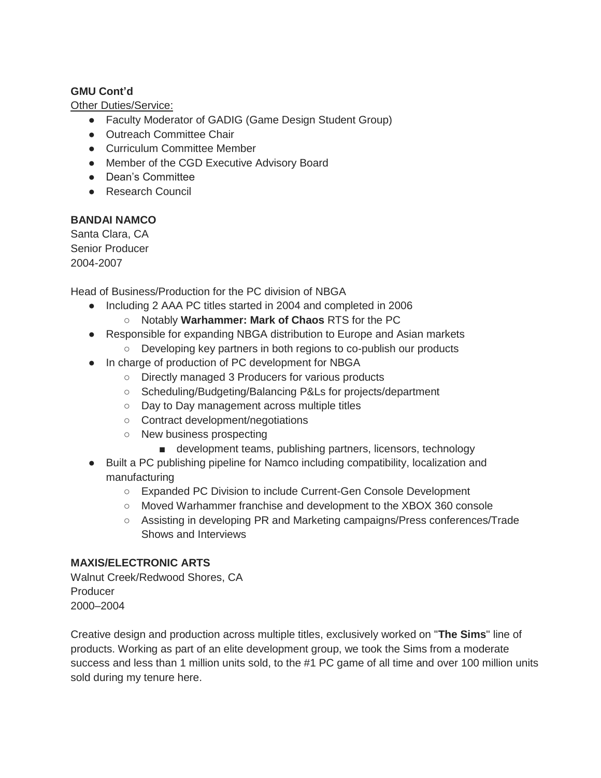#### **GMU Cont'd**

Other Duties/Service:

- Faculty Moderator of GADIG (Game Design Student Group)
- Outreach Committee Chair
- Curriculum Committee Member
- Member of the CGD Executive Advisory Board
- Dean's Committee
- Research Council

#### **BANDAI NAMCO**

Santa Clara, CA Senior Producer 2004-2007

Head of Business/Production for the PC division of NBGA

- Including 2 AAA PC titles started in 2004 and completed in 2006
	- Notably **Warhammer: Mark of Chaos** RTS for the PC
- Responsible for expanding NBGA distribution to Europe and Asian markets
	- Developing key partners in both regions to co-publish our products
- In charge of production of PC development for NBGA
	- Directly managed 3 Producers for various products
	- Scheduling/Budgeting/Balancing P&Ls for projects/department
	- Day to Day management across multiple titles
	- Contract development/negotiations
	- New business prospecting
		- development teams, publishing partners, licensors, technology
- Built a PC publishing pipeline for Namco including compatibility, localization and manufacturing
	- Expanded PC Division to include Current-Gen Console Development
	- Moved Warhammer franchise and development to the XBOX 360 console
	- Assisting in developing PR and Marketing campaigns/Press conferences/Trade Shows and Interviews

#### **MAXIS/ELECTRONIC ARTS**

Walnut Creek/Redwood Shores, CA Producer 2000–2004

Creative design and production across multiple titles, exclusively worked on "**The Sims**" line of products. Working as part of an elite development group, we took the Sims from a moderate success and less than 1 million units sold, to the #1 PC game of all time and over 100 million units sold during my tenure here.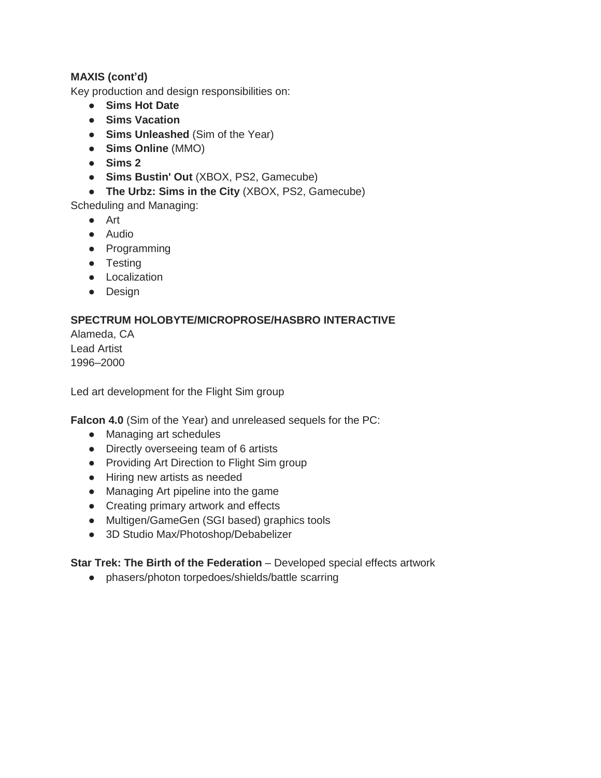#### **MAXIS (cont'd)**

Key production and design responsibilities on:

- **Sims Hot Date**
- **Sims Vacation**
- **Sims Unleashed** (Sim of the Year)
- **Sims Online** (MMO)
- **Sims 2**
- **Sims Bustin' Out** (XBOX, PS2, Gamecube)
- **The Urbz: Sims in the City** (XBOX, PS2, Gamecube)

Scheduling and Managing:

- Art
- Audio
- Programming
- Testing
- Localization
- Design

### **SPECTRUM HOLOBYTE/MICROPROSE/HASBRO INTERACTIVE**

Alameda, CA Lead Artist 1996–2000

Led art development for the Flight Sim group

**Falcon 4.0** (Sim of the Year) and unreleased sequels for the PC:

- Managing art schedules
- Directly overseeing team of 6 artists
- Providing Art Direction to Flight Sim group
- Hiring new artists as needed
- Managing Art pipeline into the game
- Creating primary artwork and effects
- Multigen/GameGen (SGI based) graphics tools
- 3D Studio Max/Photoshop/Debabelizer

**Star Trek: The Birth of the Federation** – Developed special effects artwork

● phasers/photon torpedoes/shields/battle scarring